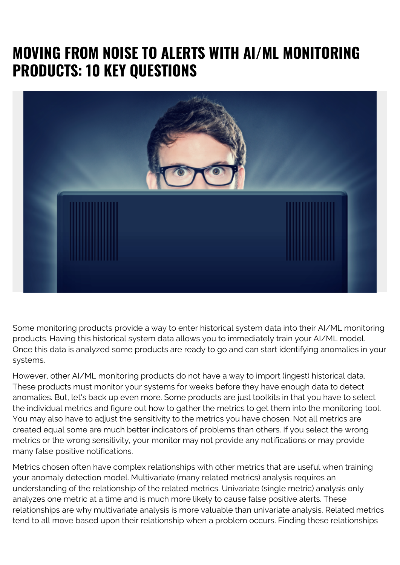## **MOVING FROM NOISE TO ALERTS WITH AI/ML MONITORING PRODUCTS: 10 KEY QUESTIONS**



Some monitoring products provide a way to enter historical system data into their AI/ML monitoring products. Having this historical system data allows you to immediately train your AI/ML model. Once this data is analyzed some products are ready to go and can start identifying anomalies in your systems.

However, other AI/ML monitoring products do not have a way to import (ingest) historical data. These products must monitor your systems for weeks before they have enough data to detect anomalies. But, let's back up even more. Some products are just toolkits in that you have to select the individual metrics and figure out how to gather the metrics to get them into the monitoring tool. You may also have to adjust the sensitivity to the metrics you have chosen. Not all metrics are created equal some are much better indicators of problems than others. If you select the wrong metrics or the wrong sensitivity, your monitor may not provide any notifications or may provide many false positive notifications.

Metrics chosen often have complex relationships with other metrics that are useful when training your anomaly detection model. Multivariate (many related metrics) analysis requires an understanding of the relationship of the related metrics. Univariate (single metric) analysis only analyzes one metric at a time and is much more likely to cause false positive alerts. These relationships are why multivariate analysis is more valuable than univariate analysis. Related metrics tend to all move based upon their relationship when a problem occurs. Finding these relationships